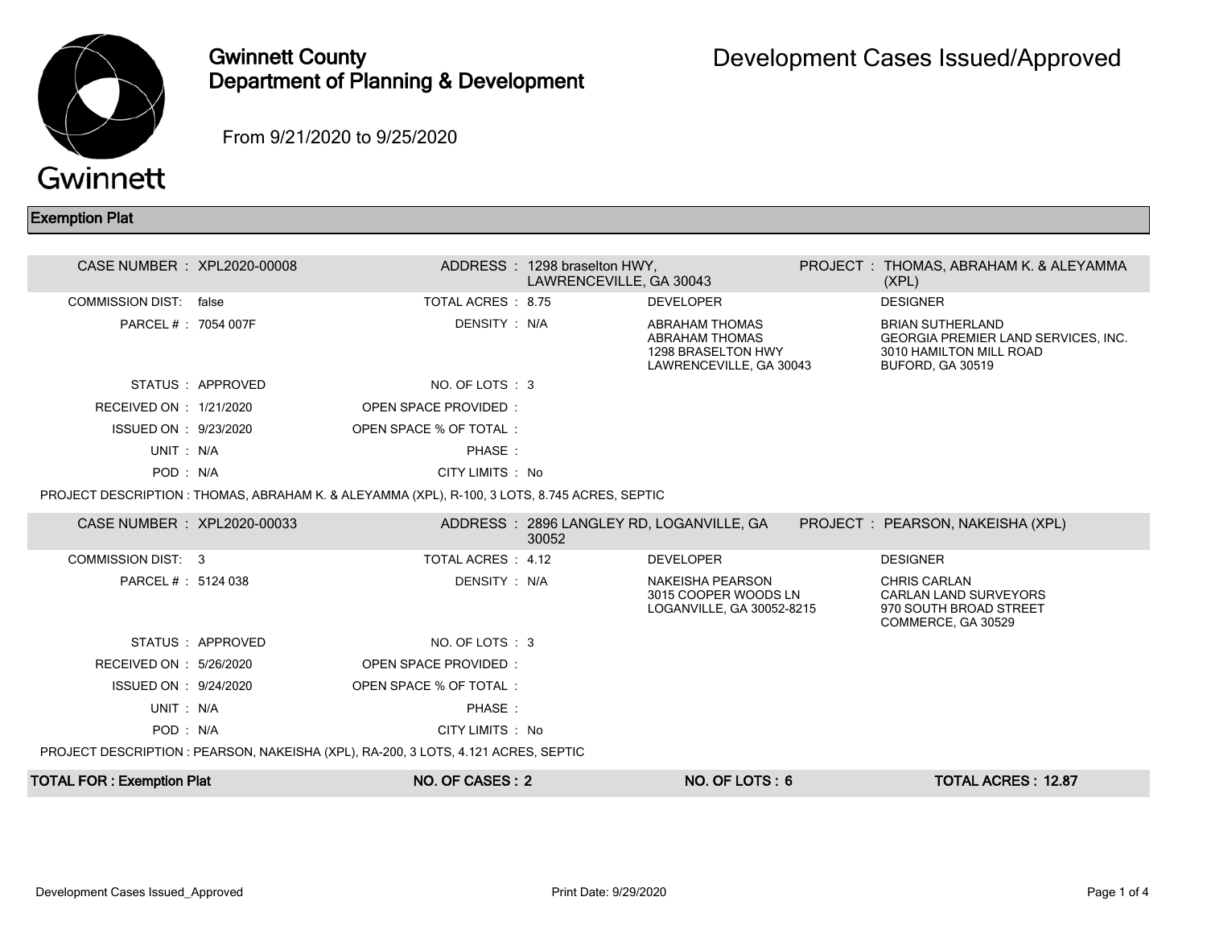

## Gwinnett County Department of Planning & Development

From 9/21/2020 to 9/25/2020

## Exemption Plat

| CASE NUMBER : XPL2020-00008      |                  |                                                                                               | ADDRESS: 1298 braselton HWY,<br>LAWRENCEVILLE, GA 30043 |                                                                                          | PROJECT : THOMAS, ABRAHAM K. & ALEYAMMA<br>(XPL)                                                                            |
|----------------------------------|------------------|-----------------------------------------------------------------------------------------------|---------------------------------------------------------|------------------------------------------------------------------------------------------|-----------------------------------------------------------------------------------------------------------------------------|
| <b>COMMISSION DIST:</b> false    |                  | TOTAL ACRES : 8.75                                                                            |                                                         | <b>DEVELOPER</b>                                                                         | <b>DESIGNER</b>                                                                                                             |
| PARCEL #: 7054 007F              |                  | DENSITY: N/A                                                                                  |                                                         | <b>ABRAHAM THOMAS</b><br>ABRAHAM THOMAS<br>1298 BRASELTON HWY<br>LAWRENCEVILLE, GA 30043 | <b>BRIAN SUTHERLAND</b><br><b>GEORGIA PREMIER LAND SERVICES, INC.</b><br>3010 HAMILTON MILL ROAD<br><b>BUFORD, GA 30519</b> |
|                                  | STATUS: APPROVED | NO. OF LOTS: 3                                                                                |                                                         |                                                                                          |                                                                                                                             |
| RECEIVED ON : 1/21/2020          |                  | <b>OPEN SPACE PROVIDED:</b>                                                                   |                                                         |                                                                                          |                                                                                                                             |
| ISSUED ON : 9/23/2020            |                  | OPEN SPACE % OF TOTAL:                                                                        |                                                         |                                                                                          |                                                                                                                             |
| UNIT: N/A                        |                  | PHASE:                                                                                        |                                                         |                                                                                          |                                                                                                                             |
| POD: N/A                         |                  | CITY LIMITS : No                                                                              |                                                         |                                                                                          |                                                                                                                             |
|                                  |                  | PROJECT DESCRIPTION : THOMAS, ABRAHAM K. & ALEYAMMA (XPL), R-100, 3 LOTS, 8.745 ACRES, SEPTIC |                                                         |                                                                                          |                                                                                                                             |
| CASE NUMBER : XPL2020-00033      |                  |                                                                                               | 30052                                                   | ADDRESS: 2896 LANGLEY RD, LOGANVILLE, GA                                                 | PROJECT : PEARSON, NAKEISHA (XPL)                                                                                           |
| COMMISSION DIST: 3               |                  | TOTAL ACRES: 4.12                                                                             |                                                         | <b>DEVELOPER</b>                                                                         | <b>DESIGNER</b>                                                                                                             |
| PARCEL #: 5124 038               |                  | DENSITY: N/A                                                                                  |                                                         | <b>NAKEISHA PEARSON</b><br>3015 COOPER WOODS LN<br>LOGANVILLE, GA 30052-8215             | <b>CHRIS CARLAN</b><br><b>CARLAN LAND SURVEYORS</b><br>970 SOUTH BROAD STREET<br>COMMERCE, GA 30529                         |
|                                  | STATUS: APPROVED | NO. OF LOTS: 3                                                                                |                                                         |                                                                                          |                                                                                                                             |
| RECEIVED ON : 5/26/2020          |                  | <b>OPEN SPACE PROVIDED:</b>                                                                   |                                                         |                                                                                          |                                                                                                                             |
| ISSUED ON : 9/24/2020            |                  | OPEN SPACE % OF TOTAL:                                                                        |                                                         |                                                                                          |                                                                                                                             |
| UNIT: N/A                        |                  | PHASE:                                                                                        |                                                         |                                                                                          |                                                                                                                             |
| POD: N/A                         |                  | CITY LIMITS : No                                                                              |                                                         |                                                                                          |                                                                                                                             |
|                                  |                  | PROJECT DESCRIPTION: PEARSON, NAKEISHA (XPL), RA-200, 3 LOTS, 4.121 ACRES, SEPTIC             |                                                         |                                                                                          |                                                                                                                             |
| <b>TOTAL FOR: Exemption Plat</b> |                  | NO. OF CASES: 2                                                                               |                                                         | NO. OF LOTS: 6                                                                           | <b>TOTAL ACRES: 12.87</b>                                                                                                   |
|                                  |                  |                                                                                               |                                                         |                                                                                          |                                                                                                                             |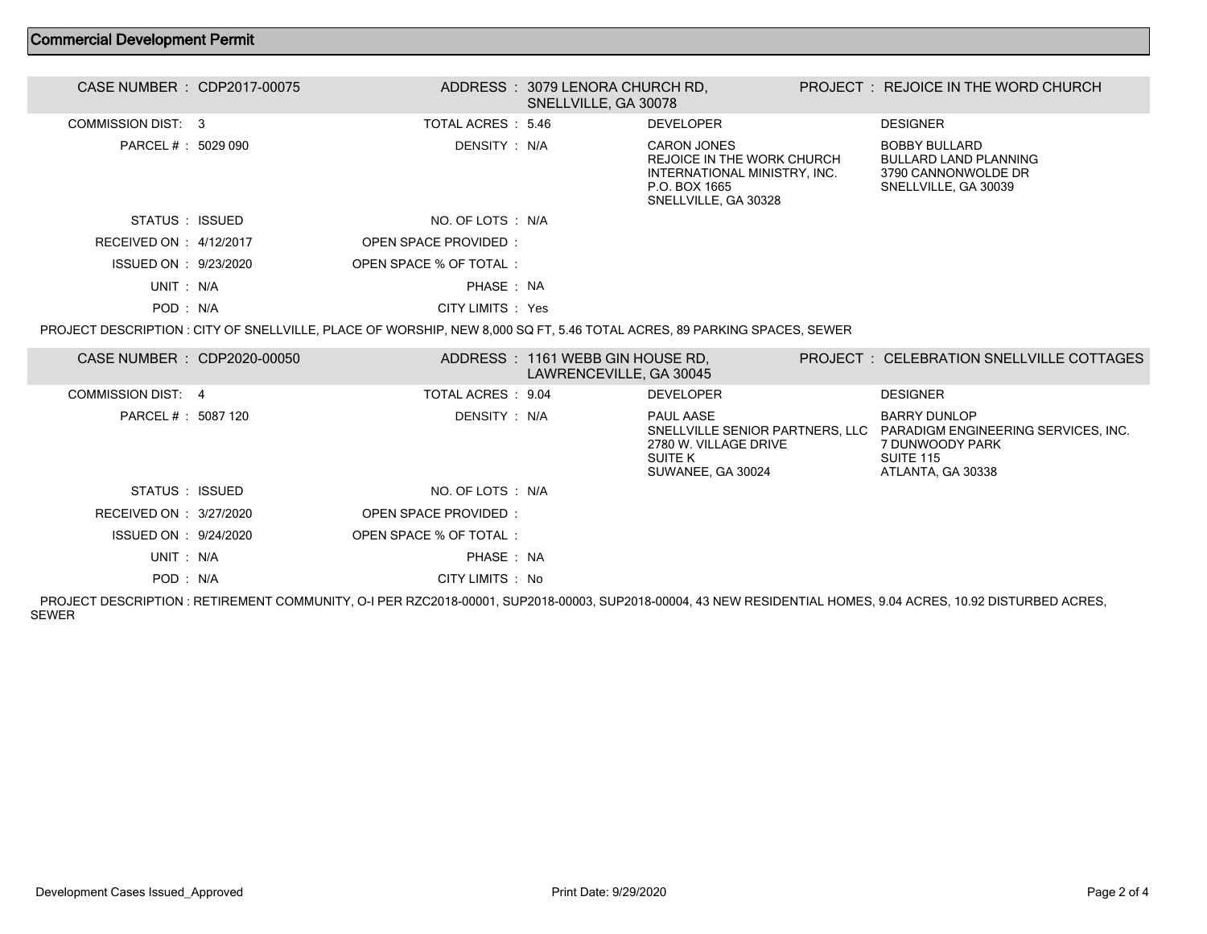## Commercial Development Permit

| CASE NUMBER : CDP2017-00075 |                                                                                                                        | ADDRESS : 3079 LENORA CHURCH RD.<br>SNELLVILLE, GA 30078    |                                                                                                                                  | PROJECT: REJOICE IN THE WORD CHURCH                                                                             |
|-----------------------------|------------------------------------------------------------------------------------------------------------------------|-------------------------------------------------------------|----------------------------------------------------------------------------------------------------------------------------------|-----------------------------------------------------------------------------------------------------------------|
| <b>COMMISSION DIST: 3</b>   | TOTAL ACRES: 5.46                                                                                                      |                                                             | <b>DEVELOPER</b>                                                                                                                 | <b>DESIGNER</b>                                                                                                 |
| PARCEL # : 5029 090         | DENSITY : N/A                                                                                                          |                                                             | <b>CARON JONES</b><br><b>REJOICE IN THE WORK CHURCH</b><br>INTERNATIONAL MINISTRY, INC.<br>P.O. BOX 1665<br>SNELLVILLE, GA 30328 | <b>BOBBY BULLARD</b><br><b>BULLARD LAND PLANNING</b><br>3790 CANNONWOLDE DR<br>SNELLVILLE, GA 30039             |
| STATUS : ISSUED             | NO. OF LOTS : N/A                                                                                                      |                                                             |                                                                                                                                  |                                                                                                                 |
| RECEIVED ON : 4/12/2017     | <b>OPEN SPACE PROVIDED:</b>                                                                                            |                                                             |                                                                                                                                  |                                                                                                                 |
| ISSUED ON : 9/23/2020       | OPEN SPACE % OF TOTAL:                                                                                                 |                                                             |                                                                                                                                  |                                                                                                                 |
| UNIT: N/A                   | PHASE : NA                                                                                                             |                                                             |                                                                                                                                  |                                                                                                                 |
| POD: N/A                    | CITY LIMITS : Yes                                                                                                      |                                                             |                                                                                                                                  |                                                                                                                 |
|                             | PROJECT DESCRIPTION: CITY OF SNELLVILLE, PLACE OF WORSHIP, NEW 8,000 SQ FT, 5.46 TOTAL ACRES, 89 PARKING SPACES, SEWER |                                                             |                                                                                                                                  |                                                                                                                 |
| CASE NUMBER : CDP2020-00050 |                                                                                                                        | ADDRESS: 1161 WEBB GIN HOUSE RD,<br>LAWRENCEVILLE, GA 30045 |                                                                                                                                  | PROJECT : CELEBRATION SNELLVILLE COTTAGES                                                                       |
| <b>COMMISSION DIST: 4</b>   | TOTAL ACRES : 9.04                                                                                                     |                                                             | <b>DEVELOPER</b>                                                                                                                 | <b>DESIGNER</b>                                                                                                 |
| PARCEL # : 5087 120         | DENSITY: N/A                                                                                                           |                                                             | PAUL AASE<br>SNELLVILLE SENIOR PARTNERS, LLC<br>2780 W. VILLAGE DRIVE<br>SUITE K<br>SUWANEE, GA 30024                            | <b>BARRY DUNLOP</b><br>PARADIGM ENGINEERING SERVICES, INC.<br>7 DUNWOODY PARK<br>SUITE 115<br>ATLANTA, GA 30338 |
| STATUS : ISSUED             | NO. OF LOTS: N/A                                                                                                       |                                                             |                                                                                                                                  |                                                                                                                 |
| RECEIVED ON : 3/27/2020     | OPEN SPACE PROVIDED:                                                                                                   |                                                             |                                                                                                                                  |                                                                                                                 |
| ISSUED ON : 9/24/2020       | OPEN SPACE % OF TOTAL:                                                                                                 |                                                             |                                                                                                                                  |                                                                                                                 |
| UNIT: N/A                   | PHASE: NA                                                                                                              |                                                             |                                                                                                                                  |                                                                                                                 |
| POD: N/A                    | CITY LIMITS : No                                                                                                       |                                                             |                                                                                                                                  |                                                                                                                 |

 PROJECT DESCRIPTION : RETIREMENT COMMUNITY, O-I PER RZC2018-00001, SUP2018-00003, SUP2018-00004, 43 NEW RESIDENTIAL HOMES, 9.04 ACRES, 10.92 DISTURBED ACRES, SEWER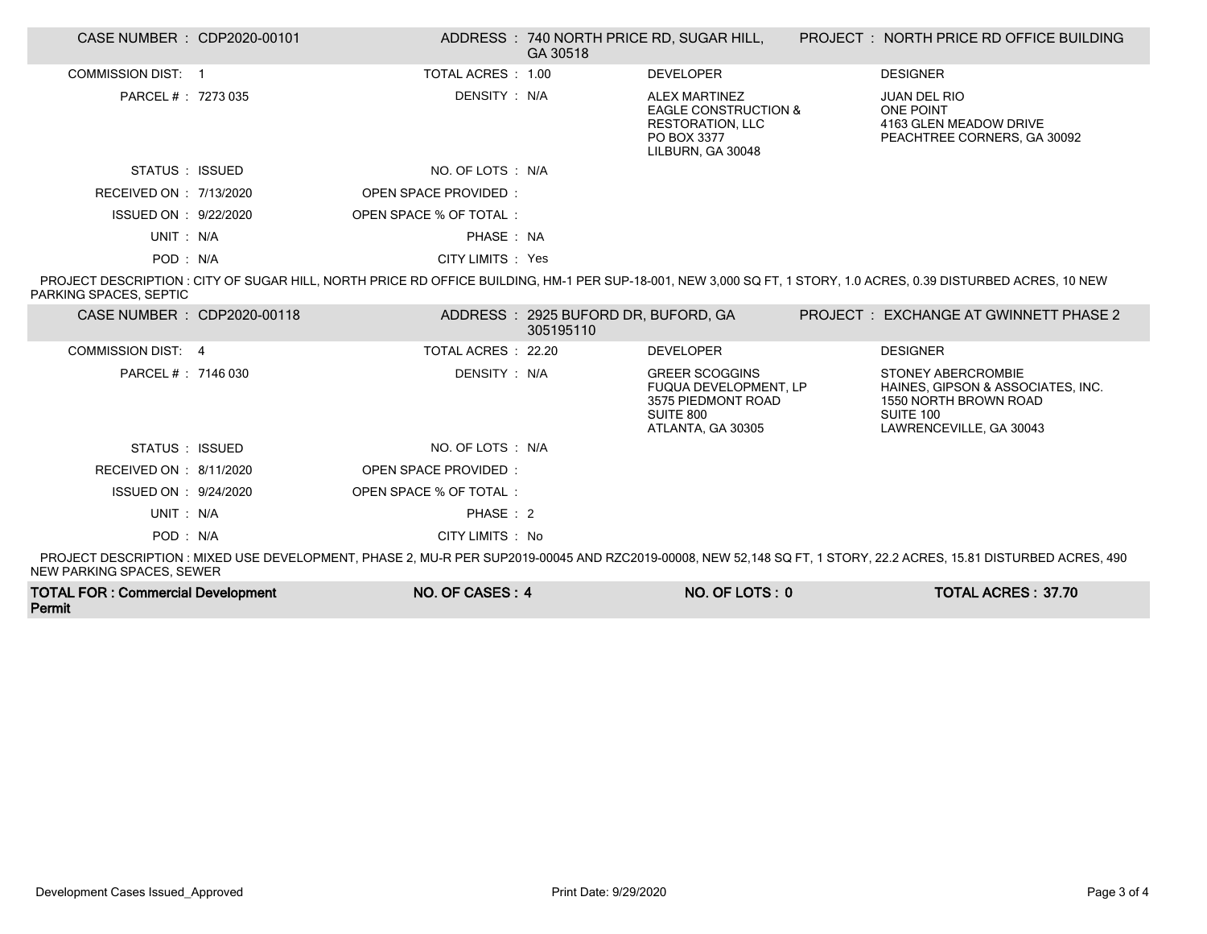| CASE NUMBER : CDP2020-00101 |                             | GA 30518                                         | ADDRESS : 740 NORTH PRICE RD, SUGAR HILL,                                                                              | PROJECT: NORTH PRICE RD OFFICE BUILDING                                                                                                                          |
|-----------------------------|-----------------------------|--------------------------------------------------|------------------------------------------------------------------------------------------------------------------------|------------------------------------------------------------------------------------------------------------------------------------------------------------------|
| COMMISSION DIST: 1          | TOTAL ACRES: 1.00           |                                                  | <b>DEVELOPER</b>                                                                                                       | <b>DESIGNER</b>                                                                                                                                                  |
| PARCEL # : 7273 035         | DENSITY : N/A               |                                                  | <b>ALEX MARTINEZ</b><br><b>EAGLE CONSTRUCTION &amp;</b><br><b>RESTORATION, LLC</b><br>PO BOX 3377<br>LILBURN, GA 30048 | <b>JUAN DEL RIO</b><br><b>ONE POINT</b><br>4163 GLEN MEADOW DRIVE<br>PEACHTREE CORNERS, GA 30092                                                                 |
| STATUS : ISSUED             | NO. OF LOTS : N/A           |                                                  |                                                                                                                        |                                                                                                                                                                  |
| RECEIVED ON : 7/13/2020     | <b>OPEN SPACE PROVIDED:</b> |                                                  |                                                                                                                        |                                                                                                                                                                  |
| ISSUED ON : 9/22/2020       | OPEN SPACE % OF TOTAL:      |                                                  |                                                                                                                        |                                                                                                                                                                  |
| UNIT: N/A                   | PHASE: NA                   |                                                  |                                                                                                                        |                                                                                                                                                                  |
| POD: N/A                    | CITY LIMITS : Yes           |                                                  |                                                                                                                        |                                                                                                                                                                  |
| PARKING SPACES. SEPTIC      |                             |                                                  |                                                                                                                        | PROJECT DESCRIPTION: CITY OF SUGAR HILL, NORTH PRICE RD OFFICE BUILDING, HM-1 PER SUP-18-001, NEW 3,000 SQ FT, 1 STORY, 1.0 ACRES, 0.39 DISTURBED ACRES, 10 NEW  |
| CASE NUMBER : CDP2020-00118 |                             | ADDRESS: 2925 BUFORD DR, BUFORD, GA<br>305195110 |                                                                                                                        | PROJECT: EXCHANGE AT GWINNETT PHASE 2                                                                                                                            |
| COMMISSION DIST: 4          | TOTAL ACRES : 22.20         |                                                  | <b>DEVELOPER</b>                                                                                                       | <b>DESIGNER</b>                                                                                                                                                  |
| PARCEL #: 7146 030          | DENSITY : N/A               |                                                  | <b>GREER SCOGGINS</b><br><b>FUQUA DEVELOPMENT, LP</b><br>3575 PIEDMONT ROAD<br>SUITE 800<br>ATLANTA, GA 30305          | <b>STONEY ABERCROMBIE</b><br>HAINES, GIPSON & ASSOCIATES, INC.<br>1550 NORTH BROWN ROAD<br>SUITE 100<br>LAWRENCEVILLE, GA 30043                                  |
| STATUS: ISSUED              | NO. OF LOTS : N/A           |                                                  |                                                                                                                        |                                                                                                                                                                  |
| RECEIVED ON : 8/11/2020     | <b>OPEN SPACE PROVIDED:</b> |                                                  |                                                                                                                        |                                                                                                                                                                  |
| ISSUED ON : 9/24/2020       | OPEN SPACE % OF TOTAL:      |                                                  |                                                                                                                        |                                                                                                                                                                  |
| UNIT: N/A                   | PHASE: 2                    |                                                  |                                                                                                                        |                                                                                                                                                                  |
| POD: N/A                    | CITY LIMITS : No            |                                                  |                                                                                                                        |                                                                                                                                                                  |
| NEW PARKING SPACES, SEWER   |                             |                                                  |                                                                                                                        | PROJECT DESCRIPTION: MIXED USE DEVELOPMENT, PHASE 2, MU-R PER SUP2019-00045 AND RZC2019-00008, NEW 52,148 SQ FT, 1 STORY, 22.2 ACRES, 15.81 DISTURBED ACRES, 490 |

| <b>TOTAL FOR: Commercial Development</b> | NO. OF CASES: 4 | NO. OF LOTS: 0 | <b>TOTAL ACRES: 37.70</b> |
|------------------------------------------|-----------------|----------------|---------------------------|
| Permit                                   |                 |                |                           |